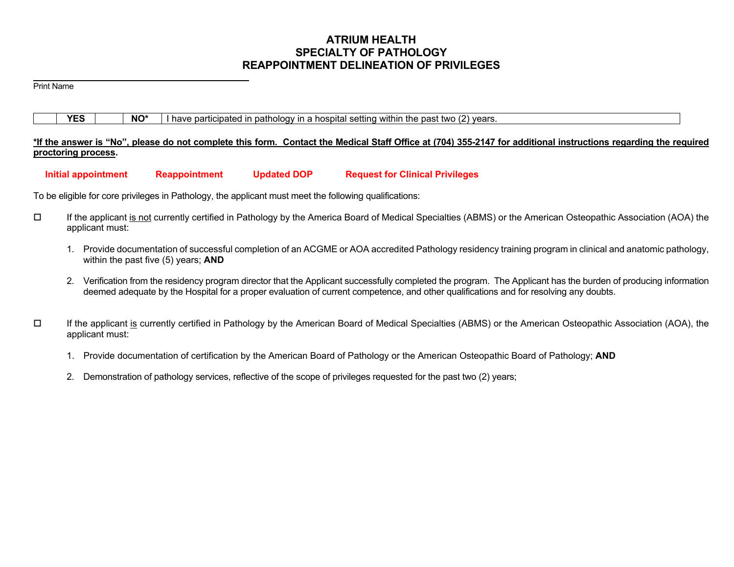# **ATRIUM HEALTH SPECIALTY OF PATHOLOGY REAPPOINTMENT DELINEATION OF PRIVILEGES**

Print Name

|  | <b>YES</b> |  | NO* |  |  |  |  |  |  | I have participated in pathology in a hospital setting within the past two (2) years. |  |  |
|--|------------|--|-----|--|--|--|--|--|--|---------------------------------------------------------------------------------------|--|--|
|--|------------|--|-----|--|--|--|--|--|--|---------------------------------------------------------------------------------------|--|--|

# **\*If the answer is "No", please do not complete this form. Contact the Medical Staff Office at (704) 355-2147 for additional instructions regarding the required proctoring process.**

 **Initial appointment Reappointment Updated DOP Request for Clinical Privileges** 

To be eligible for core privileges in Pathology, the applicant must meet the following qualifications:

- If the applicant is not currently certified in Pathology by the America Board of Medical Specialties (ABMS) or the American Osteopathic Association (AOA) the applicant must:
	- 1. Provide documentation of successful completion of an ACGME or AOA accredited Pathology residency training program in clinical and anatomic pathology, within the past five (5) years; **AND**
	- 2. Verification from the residency program director that the Applicant successfully completed the program. The Applicant has the burden of producing information deemed adequate by the Hospital for a proper evaluation of current competence, and other qualifications and for resolving any doubts.
- $\Box$  If the applicant is currently certified in Pathology by the American Board of Medical Specialties (ABMS) or the American Osteopathic Association (AOA), the applicant must:
	- 1. Provide documentation of certification by the American Board of Pathology or the American Osteopathic Board of Pathology; **AND**
	- 2. Demonstration of pathology services, reflective of the scope of privileges requested for the past two (2) years;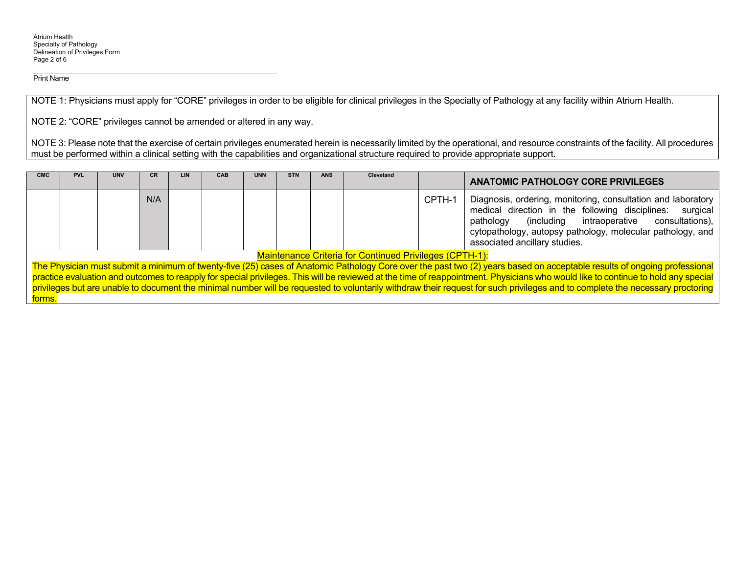Print Name

NOTE 1: Physicians must apply for "CORE" privileges in order to be eligible for clinical privileges in the Specialty of Pathology at any facility within Atrium Health.

NOTE 2: "CORE" privileges cannot be amended or altered in any way.

NOTE 3: Please note that the exercise of certain privileges enumerated herein is necessarily limited by the operational, and resource constraints of the facility. All procedures must be performed within a clinical setting with the capabilities and organizational structure required to provide appropriate support.

| <b>CMC</b> | <b>PVL</b>                                                                                                                                                                                                                                                                                                                                                                                                                                                                                                                                                                                                       | <b>UNV</b> | СR  | LIN. | <b>CAB</b> | <b>UNN</b> | <b>STN</b> | <b>ANS</b> | <b>Cleveland</b> |        | <b>ANATOMIC PATHOLOGY CORE PRIVILEGES</b>                                                                                                                                                                                                                                               |
|------------|------------------------------------------------------------------------------------------------------------------------------------------------------------------------------------------------------------------------------------------------------------------------------------------------------------------------------------------------------------------------------------------------------------------------------------------------------------------------------------------------------------------------------------------------------------------------------------------------------------------|------------|-----|------|------------|------------|------------|------------|------------------|--------|-----------------------------------------------------------------------------------------------------------------------------------------------------------------------------------------------------------------------------------------------------------------------------------------|
|            |                                                                                                                                                                                                                                                                                                                                                                                                                                                                                                                                                                                                                  |            | N/A |      |            |            |            |            |                  | CPTH-1 | Diagnosis, ordering, monitoring, consultation and laboratory<br>medical direction in the following disciplines:<br>surgical<br>intraoperative consultations),<br>(including<br>pathology<br>cytopathology, autopsy pathology, molecular pathology, and<br>associated ancillary studies. |
|            |                                                                                                                                                                                                                                                                                                                                                                                                                                                                                                                                                                                                                  |            |     |      |            |            |            |            |                  |        |                                                                                                                                                                                                                                                                                         |
| forms.     | <b>Maintenance Criteria for Continued Privileges (CPTH-1):</b><br>The Physician must submit a minimum of twenty-five (25) cases of Anatomic Pathology Core over the past two (2) years based on acceptable results of ongoing professional<br>practice evaluation and outcomes to reapply for special privileges. This will be reviewed at the time of reappointment. Physicians who would like to continue to hold any special<br>privileges but are unable to document the minimal number will be requested to voluntarily withdraw their request for such privileges and to complete the necessary proctoring |            |     |      |            |            |            |            |                  |        |                                                                                                                                                                                                                                                                                         |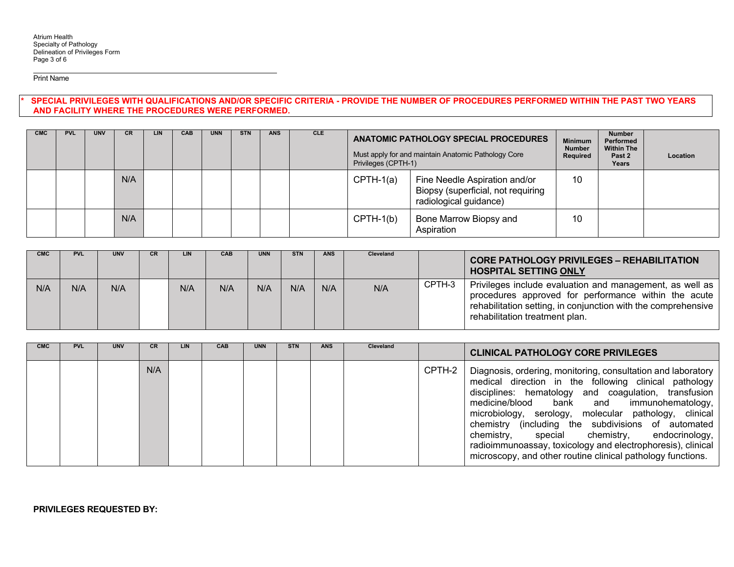Print Name

SPECIAL PRIVILEGES WITH QUALIFICATIONS AND/OR SPECIFIC CRITERIA - PROVIDE THE NUMBER OF PROCEDURES PERFORMED WITHIN THE PAST TWO YEARS **AND FACILITY WHERE THE PROCEDURES WERE PERFORMED.** 

| <b>CMC</b> | <b>PVL</b> | <b>UNV</b> | <b>CR</b> | LIN | <b>CAB</b> | <b>UNN</b> | <b>STN</b> | <b>ANS</b> | <b>CLE</b> |             | ANATOMIC PATHOLOGY SPECIAL PROCEDURES<br>Must apply for and maintain Anatomic Pathology Core<br>Privileges (CPTH-1) |    |  | Location |
|------------|------------|------------|-----------|-----|------------|------------|------------|------------|------------|-------------|---------------------------------------------------------------------------------------------------------------------|----|--|----------|
|            |            |            | N/A       |     |            |            |            |            |            | $CPTH-1(a)$ | Fine Needle Aspiration and/or<br>Biopsy (superficial, not requiring<br>radiological guidance)                       | 10 |  |          |
|            |            |            | N/A       |     |            |            |            |            |            | $CPTH-1(b)$ | Bone Marrow Biopsy and<br>Aspiration                                                                                | 10 |  |          |

| <b>CMC</b> | <b>PVL</b> | <b>UNV</b> | CR. | LIN | CAB | <b>UNN</b> | <b>STN</b> | <b>ANS</b> | <b>Cleveland</b> |        | <b>CORE PATHOLOGY PRIVILEGES - REHABILITATION</b><br><b>HOSPITAL SETTING ONLY</b>                                                                                                                                   |
|------------|------------|------------|-----|-----|-----|------------|------------|------------|------------------|--------|---------------------------------------------------------------------------------------------------------------------------------------------------------------------------------------------------------------------|
| N/A        | N/A        | N/A        |     | N/A | N/A | N/A        | N/A        | N/A        | N/A              | CPTH-3 | Privileges include evaluation and management, as well as<br>procedures approved for performance within the acute<br>rehabilitation setting, in conjunction with the comprehensive<br>rehabilitation treatment plan. |

| <b>CMC</b> | <b>PVL</b> | <b>UNV</b> |     | LIN | <b>CAB</b> | <b>UNN</b> | <b>STN</b> | <b>ANS</b> | Cleveland |        | <b>CLINICAL PATHOLOGY CORE PRIVILEGES</b>                                                                                                                                                                                                                                                                                                                                                                                                                                                                               |
|------------|------------|------------|-----|-----|------------|------------|------------|------------|-----------|--------|-------------------------------------------------------------------------------------------------------------------------------------------------------------------------------------------------------------------------------------------------------------------------------------------------------------------------------------------------------------------------------------------------------------------------------------------------------------------------------------------------------------------------|
|            |            |            | N/A |     |            |            |            |            |           | CPTH-2 | Diagnosis, ordering, monitoring, consultation and laboratory<br>medical direction in the following clinical pathology<br>disciplines: hematology and coagulation, transfusion<br>medicine/blood bank and immunohematology,<br>microbiology, serology, molecular pathology, clinical<br>chemistry (including the subdivisions of automated<br>chemistry, special chemistry, endocrinology,<br>radioimmunoassay, toxicology and electrophoresis), clinical<br>microscopy, and other routine clinical pathology functions. |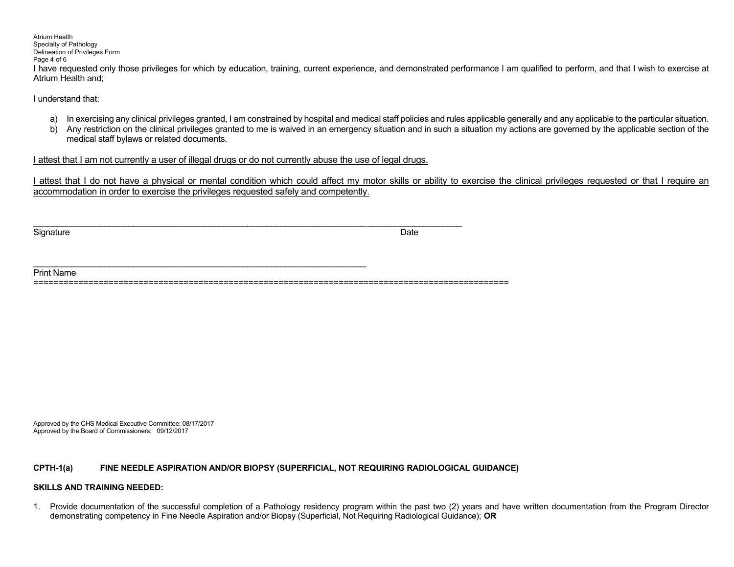Atrium Health Specialty of Pathology Delineation of Privileges Form Page 4 of 6 I have requested only those privileges for which by education, training, current experience, and demonstrated performance I am qualified to perform, and that I wish to exercise at Atrium Health and;

I understand that:

- a) In exercising any clinical privileges granted, I am constrained by hospital and medical staff policies and rules applicable generally and any applicable to the particular situation.
- b) Any restriction on the clinical privileges granted to me is waived in an emergency situation and in such a situation my actions are governed by the applicable section of the medical staff bylaws or related documents.

I attest that I am not currently a user of illegal drugs or do not currently abuse the use of legal drugs.

I attest that I do not have a physical or mental condition which could affect my motor skills or ability to exercise the clinical privileges requested or that I require an accommodation in order to exercise the privileges requested safely and competently.

Signature Date **Date of the Contract of Contract Contract of Contract Contract Contract O** 

| Print |
|-------|
|       |

\_\_\_\_\_\_\_\_\_\_\_\_\_\_\_\_\_\_\_\_\_\_\_\_\_\_\_\_\_\_\_\_\_\_\_\_\_\_\_\_\_\_\_\_\_\_\_\_\_\_\_\_\_\_\_\_\_\_\_\_\_\_\_\_\_\_\_\_\_\_ \_\_\_\_\_\_\_\_\_\_\_\_\_\_\_\_\_\_\_\_

Approved by the CHS Medical Executive Committee: 08/17/2017 Approved by the Board of Commissioners: 09/12/2017

## **CPTH-1(a) FINE NEEDLE ASPIRATION AND/OR BIOPSY (SUPERFICIAL, NOT REQUIRING RADIOLOGICAL GUIDANCE)**

# **SKILLS AND TRAINING NEEDED:**

1. Provide documentation of the successful completion of a Pathology residency program within the past two (2) years and have written documentation from the Program Director demonstrating competency in Fine Needle Aspiration and/or Biopsy (Superficial, Not Requiring Radiological Guidance); **OR**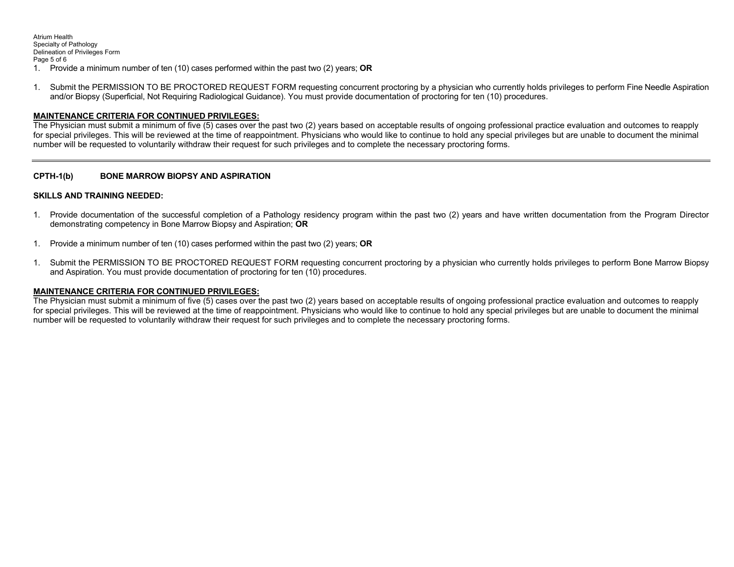Atrium Health Specialty of Pathology Delineation of Privileges Form Page 5 of 6 1. Provide a minimum number of ten (10) cases performed within the past two (2) years; **OR** 

1. Submit the PERMISSION TO BE PROCTORED REQUEST FORM requesting concurrent proctoring by a physician who currently holds privileges to perform Fine Needle Aspiration and/or Biopsy (Superficial, Not Requiring Radiological Guidance). You must provide documentation of proctoring for ten (10) procedures.

# **MAINTENANCE CRITERIA FOR CONTINUED PRIVILEGES:**

The Physician must submit a minimum of five (5) cases over the past two (2) years based on acceptable results of ongoing professional practice evaluation and outcomes to reapply for special privileges. This will be reviewed at the time of reappointment. Physicians who would like to continue to hold any special privileges but are unable to document the minimal number will be requested to voluntarily withdraw their request for such privileges and to complete the necessary proctoring forms.

# **CPTH-1(b) BONE MARROW BIOPSY AND ASPIRATION**

## **SKILLS AND TRAINING NEEDED:**

- 1. Provide documentation of the successful completion of a Pathology residency program within the past two (2) years and have written documentation from the Program Director demonstrating competency in Bone Marrow Biopsy and Aspiration; **OR**
- 1. Provide a minimum number of ten (10) cases performed within the past two (2) years; **OR**
- 1. Submit the PERMISSION TO BE PROCTORED REQUEST FORM requesting concurrent proctoring by a physician who currently holds privileges to perform Bone Marrow Biopsy and Aspiration. You must provide documentation of proctoring for ten (10) procedures.

## **MAINTENANCE CRITERIA FOR CONTINUED PRIVILEGES:**

The Physician must submit a minimum of five (5) cases over the past two (2) years based on acceptable results of ongoing professional practice evaluation and outcomes to reapply for special privileges. This will be reviewed at the time of reappointment. Physicians who would like to continue to hold any special privileges but are unable to document the minimal number will be requested to voluntarily withdraw their request for such privileges and to complete the necessary proctoring forms.